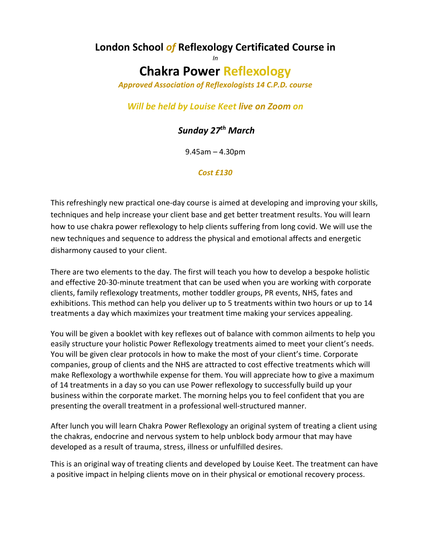### **London School** *of* **Reflexology Certificated Course in** *In*

# **Chakra Power Reflexology**

*Approved Association of Reflexologists 14 C.P.D. course*

## *Will be held by Louise Keet live on Zoom on*

# *Sunday 27th March*

9.45am – 4.30pm

### *Cost £130*

This refreshingly new practical one-day course is aimed at developing and improving your skills, techniques and help increase your client base and get better treatment results. You will learn how to use chakra power reflexology to help clients suffering from long covid. We will use the new techniques and sequence to address the physical and emotional affects and energetic disharmony caused to your client.

There are two elements to the day. The first will teach you how to develop a bespoke holistic and effective 20-30-minute treatment that can be used when you are working with corporate clients, family reflexology treatments, mother toddler groups, PR events, NHS, fates and exhibitions. This method can help you deliver up to 5 treatments within two hours or up to 14 treatments a day which maximizes your treatment time making your services appealing.

You will be given a booklet with key reflexes out of balance with common ailments to help you easily structure your holistic Power Reflexology treatments aimed to meet your client's needs. You will be given clear protocols in how to make the most of your client's time. Corporate companies, group of clients and the NHS are attracted to cost effective treatments which will make Reflexology a worthwhile expense for them. You will appreciate how to give a maximum of 14 treatments in a day so you can use Power reflexology to successfully build up your business within the corporate market. The morning helps you to feel confident that you are presenting the overall treatment in a professional well-structured manner.

After lunch you will learn Chakra Power Reflexology an original system of treating a client using the chakras, endocrine and nervous system to help unblock body armour that may have developed as a result of trauma, stress, illness or unfulfilled desires.

This is an original way of treating clients and developed by Louise Keet. The treatment can have a positive impact in helping clients move on in their physical or emotional recovery process.